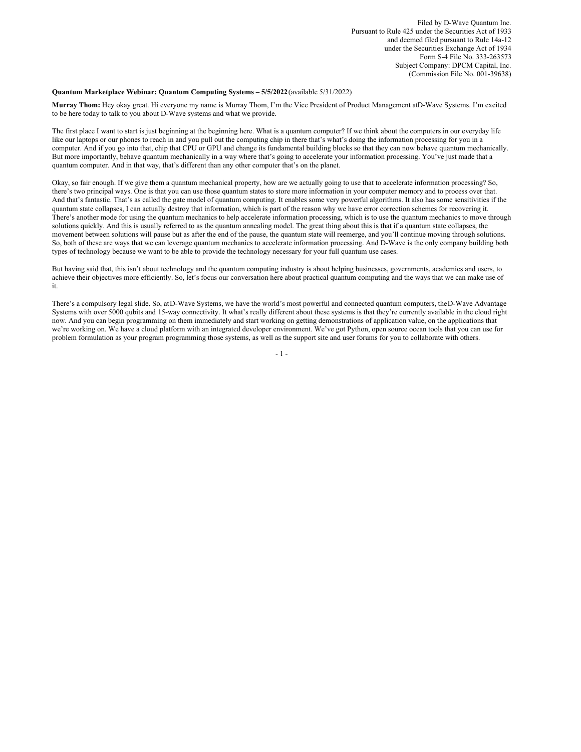Filed by D-Wave Quantum Inc. Pursuant to Rule 425 under the Securities Act of 1933 and deemed filed pursuant to Rule 14a-12 under the Securities Exchange Act of 1934 Form S-4 File No. 333-263573 Subject Company: DPCM Capital, Inc. (Commission File No. 001-39638)

#### **Quantum Marketplace Webinar: Quantum Computing Systems – 5/5/2022**(available 5/31/2022)

**Murray Thom:** Hey okay great. Hi everyone my name is Murray Thom, I'm the Vice President of Product Management atD-Wave Systems. I'm excited to be here today to talk to you about D-Wave systems and what we provide.

The first place I want to start is just beginning at the beginning here. What is a quantum computer? If we think about the computers in our everyday life like our laptops or our phones to reach in and you pull out the computing chip in there that's what's doing the information processing for you in a computer. And if you go into that, chip that CPU or GPU and change its fundamental building blocks so that they can now behave quantum mechanically. But more importantly, behave quantum mechanically in a way where that's going to accelerate your information processing. You've just made that a quantum computer. And in that way, that's different than any other computer that's on the planet.

Okay, so fair enough. If we give them a quantum mechanical property, how are we actually going to use that to accelerate information processing? So, there's two principal ways. One is that you can use those quantum states to store more information in your computer memory and to process over that. And that's fantastic. That's as called the gate model of quantum computing. It enables some very powerful algorithms. It also has some sensitivities if the quantum state collapses, I can actually destroy that information, which is part of the reason why we have error correction schemes for recovering it. There's another mode for using the quantum mechanics to help accelerate information processing, which is to use the quantum mechanics to move through solutions quickly. And this is usually referred to as the quantum annealing model. The great thing about this is that if a quantum state collapses, the movement between solutions will pause but as after the end of the pause, the quantum state will reemerge, and you'll continue moving through solutions. So, both of these are ways that we can leverage quantum mechanics to accelerate information processing. And D-Wave is the only company building both types of technology because we want to be able to provide the technology necessary for your full quantum use cases.

But having said that, this isn't about technology and the quantum computing industry is about helping businesses, governments, academics and users, to achieve their objectives more efficiently. So, let's focus our conversation here about practical quantum computing and the ways that we can make use of it.

There's a compulsory legal slide. So, atD-Wave Systems, we have the world's most powerful and connected quantum computers, theD-Wave Advantage Systems with over 5000 qubits and 15-way connectivity. It what's really different about these systems is that they're currently available in the cloud right now. And you can begin programming on them immediately and start working on getting demonstrations of application value, on the applications that we're working on. We have a cloud platform with an integrated developer environment. We've got Python, open source ocean tools that you can use for problem formulation as your program programming those systems, as well as the support site and user forums for you to collaborate with others.

 $-1$  -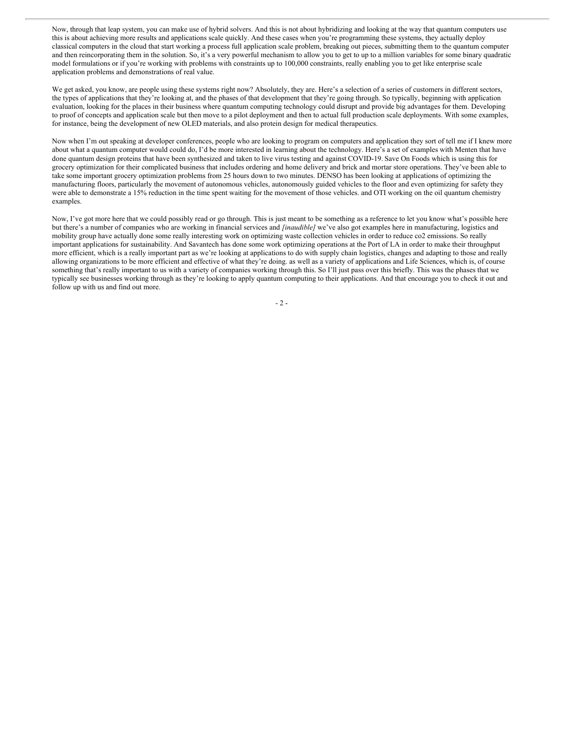Now, through that leap system, you can make use of hybrid solvers. And this is not about hybridizing and looking at the way that quantum computers use this is about achieving more results and applications scale quickly. And these cases when you're programming these systems, they actually deploy classical computers in the cloud that start working a process full application scale problem, breaking out pieces, submitting them to the quantum computer and then reincorporating them in the solution. So, it's a very powerful mechanism to allow you to get to up to a million variables for some binary quadratic model formulations or if you're working with problems with constraints up to 100,000 constraints, really enabling you to get like enterprise scale application problems and demonstrations of real value.

We get asked, you know, are people using these systems right now? Absolutely, they are. Here's a selection of a series of customers in different sectors, the types of applications that they're looking at, and the phases of that development that they're going through. So typically, beginning with application evaluation, looking for the places in their business where quantum computing technology could disrupt and provide big advantages for them. Developing to proof of concepts and application scale but then move to a pilot deployment and then to actual full production scale deployments. With some examples, for instance, being the development of new OLED materials, and also protein design for medical therapeutics.

Now when I'm out speaking at developer conferences, people who are looking to program on computers and application they sort of tell me if I knew more about what a quantum computer would could do, I'd be more interested in learning about the technology. Here's a set of examples with Menten that have done quantum design proteins that have been synthesized and taken to live virus testing and against COVID-19. Save On Foods which is using this for grocery optimization for their complicated business that includes ordering and home delivery and brick and mortar store operations. They've been able to take some important grocery optimization problems from 25 hours down to two minutes. DENSO has been looking at applications of optimizing the manufacturing floors, particularly the movement of autonomous vehicles, autonomously guided vehicles to the floor and even optimizing for safety they were able to demonstrate a 15% reduction in the time spent waiting for the movement of those vehicles. and OTI working on the oil quantum chemistry examples.

Now, I've got more here that we could possibly read or go through. This is just meant to be something as a reference to let you know what's possible here but there's a number of companies who are working in financial services and *[inaudible]* we've also got examples here in manufacturing, logistics and mobility group have actually done some really interesting work on optimizing waste collection vehicles in order to reduce co2 emissions. So really important applications for sustainability. And Savantech has done some work optimizing operations at the Port of LA in order to make their throughput more efficient, which is a really important part as we're looking at applications to do with supply chain logistics, changes and adapting to those and really allowing organizations to be more efficient and effective of what they're doing. as well as a variety of applications and Life Sciences, which is, of course something that's really important to us with a variety of companies working through this. So I'll just pass over this briefly. This was the phases that we typically see businesses working through as they're looking to apply quantum computing to their applications. And that encourage you to check it out and follow up with us and find out more.

- 2 -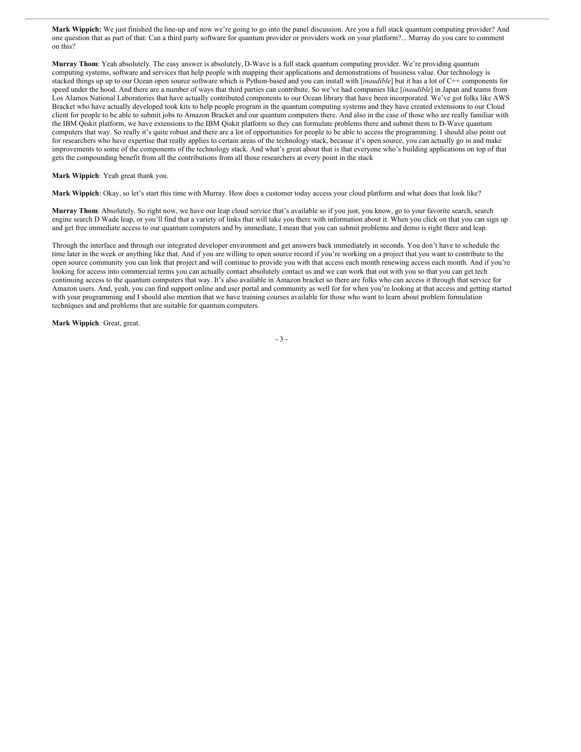**Mark Wippich:** We just finished the line-up and now we're going to go into the panel discussion. Are you a full stack quantum computing provider? And one question that as part of that: Can a third party software for quantum provider or providers work on your platform?... Murray do you care to comment on this?

**Murray Thom**: Yeah absolutely. The easy answer is absolutely, D-Wave is a full stack quantum computing provider. We're providing quantum computing systems, software and services that help people with mapping their applications and demonstrations of business value. Our technology is stacked things up up to our Ocean open source software which is Python-based and you can install with [*inaudible*] but it has a lot of C++ components for speed under the hood. And there are a number of ways that third parties can contribute. So we've had companies like [*inaudible*] in Japan and teams from Los Alamos National Laboratories that have actually contributed components to our Ocean library that have been incorporated. We've got folks like AWS Bracket who have actually developed took kits to help people program in the quantum computing systems and they have created extensions to our Cloud client for people to be able to submit jobs to Amazon Bracket and our quantum computers there. And also in the case of those who are really familiar with the IBM Qiskit platform, we have extensions to the IBM Qiskit platform so they can formulate problems there and submit them to D-Wave quantum computers that way. So really it's quite robust and there are a lot of opportunities for people to be able to access the programming. I should also point out for researchers who have expertise that really applies to certain areas of the technology stack, because it's open source, you can actually go in and make improvements to some of the components of the technology stack. And what's great about that is that everyone who's building applications on top of that gets the compounding benefit from all the contributions from all those researchers at every point in the stack

### **Mark Wippich**: Yeah great thank you.

**Mark Wippich**: Okay, so let's start this time with Murray. How does a customer today access your cloud platform and what does that look like?

**Murray Thom**: Absolutely. So right now, we have our leap cloud service that's available so if you just, you know, go to your favorite search, search engine search D Wade leap, or you'll find that a variety of links that will take you there with information about it. When you click on that you can sign up and get free immediate access to our quantum computers and by immediate, I mean that you can submit problems and demo is right there and leap.

Through the interface and through our integrated developer environment and get answers back immediately in seconds. You don't have to schedule the time later in the week or anything like that. And if you are willing to open source record if you're working on a project that you want to contribute to the open source community you can link that project and will continue to provide you with that access each month renewing access each month. And if you're looking for access into commercial terms you can actually contact absolutely contact us and we can work that out with you so that you can get tech continuing access to the quantum computers that way. It's also available in Amazon bracket so there are folks who can access it through that service for Amazon users. And, yeah, you can find support online and user portal and community as well for for when you're looking at that access and getting started with your programming and I should also mention that we have training courses available for those who want to learn about problem formulation techniques and and problems that are suitable for quantum computers.

**Mark Wippich***:* Great, great.

- 3 -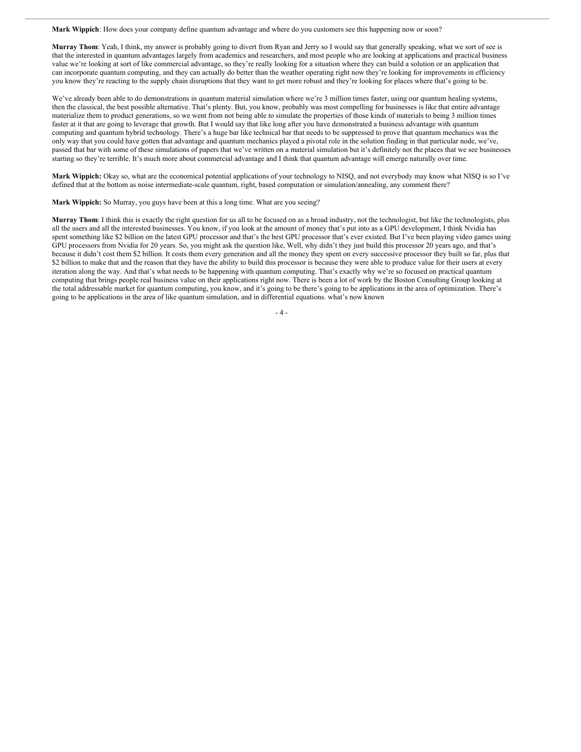**Mark Wippich**: How does your company define quantum advantage and where do you customers see this happening now or soon?

**Murray Thom**: Yeah, I think, my answer is probably going to divert from Ryan and Jerry so I would say that generally speaking, what we sort of see is that the interested in quantum advantages largely from academics and researchers, and most people who are looking at applications and practical business value we're looking at sort of like commercial advantage, so they're really looking for a situation where they can build a solution or an application that can incorporate quantum computing, and they can actually do better than the weather operating right now they're looking for improvements in efficiency you know they're reacting to the supply chain disruptions that they want to get more robust and they're looking for places where that's going to be.

We've already been able to do demonstrations in quantum material simulation where we're 3 million times faster, using our quantum healing systems, then the classical, the best possible alternative. That's plenty. But, you know, probably was most compelling for businesses is like that entire advantage materialize them to product generations, so we went from not being able to simulate the properties of those kinds of materials to being 3 million times faster at it that are going to leverage that growth. But I would say that like long after you have demonstrated a business advantage with quantum computing and quantum hybrid technology. There's a huge bar like technical bar that needs to be suppressed to prove that quantum mechanics was the only way that you could have gotten that advantage and quantum mechanics played a pivotal role in the solution finding in that particular node, we've, passed that bar with some of these simulations of papers that we've written on a material simulation but it's definitely not the places that we see businesses starting so they're terrible. It's much more about commercial advantage and I think that quantum advantage will emerge naturally over time.

**Mark Wippich:** Okay so, what are the economical potential applications of your technology to NISQ, and not everybody may know what NISQ is so I've defined that at the bottom as noise intermediate-scale quantum, right, based computation or simulation/annealing, any comment there?

**Mark Wippich:** So Murray, you guys have been at this a long time. What are you seeing?

**Murray Thom**: I think this is exactly the right question for us all to be focused on as a broad industry, not the technologist, but like the technologists, plus all the users and all the interested businesses. You know, if you look at the amount of money that's put into as a GPU development, I think Nvidia has spent something like \$2 billion on the latest GPU processor and that's the best GPU processor that's ever existed. But I've been playing video games using GPU processors from Nvidia for 20 years. So, you might ask the question like, Well, why didn't they just build this processor 20 years ago, and that's because it didn't cost them \$2 billion. It costs them every generation and all the money they spent on every successive processor they built so far, plus that \$2 billion to make that and the reason that they have the ability to build this processor is because they were able to produce value for their users at every iteration along the way. And that's what needs to be happening with quantum computing. That's exactly why we're so focused on practical quantum computing that brings people real business value on their applications right now. There is been a lot of work by the Boston Consulting Group looking at the total addressable market for quantum computing, you know, and it's going to be there's going to be applications in the area of optimization. There's going to be applications in the area of like quantum simulation, and in differential equations. what's now known

 $-4-$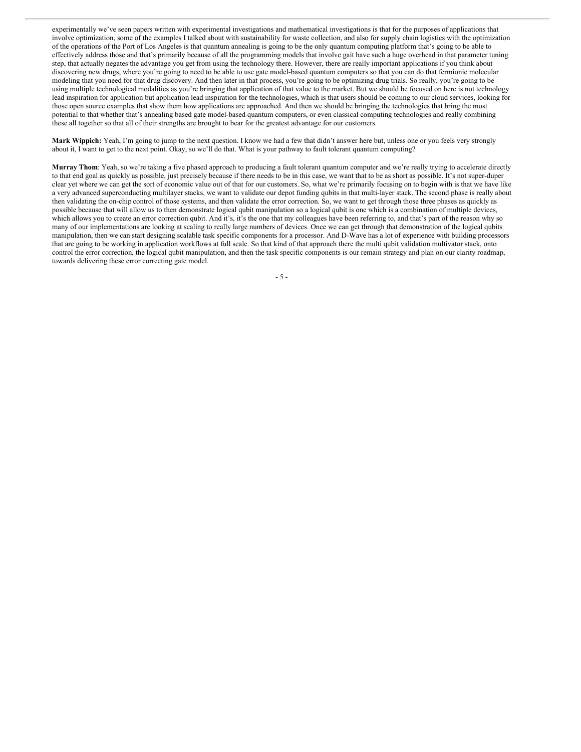experimentally we've seen papers written with experimental investigations and mathematical investigations is that for the purposes of applications that involve optimization, some of the examples I talked about with sustainability for waste collection, and also for supply chain logistics with the optimization of the operations of the Port of Los Angeles is that quantum annealing is going to be the only quantum computing platform that's going to be able to effectively address those and that's primarily because of all the programming models that involve gait have such a huge overhead in that parameter tuning step, that actually negates the advantage you get from using the technology there. However, there are really important applications if you think about discovering new drugs, where you're going to need to be able to use gate model-based quantum computers so that you can do that fermionic molecular modeling that you need for that drug discovery. And then later in that process, you're going to be optimizing drug trials. So really, you're going to be using multiple technological modalities as you're bringing that application of that value to the market. But we should be focused on here is not technology lead inspiration for application but application lead inspiration for the technologies, which is that users should be coming to our cloud services, looking for those open source examples that show them how applications are approached. And then we should be bringing the technologies that bring the most potential to that whether that's annealing based gate model-based quantum computers, or even classical computing technologies and really combining these all together so that all of their strengths are brought to bear for the greatest advantage for our customers.

**Mark Wippich:** Yeah, I'm going to jump to the next question. I know we had a few that didn't answer here but, unless one or you feels very strongly about it, I want to get to the next point. Okay, so we'll do that. What is your pathway to fault tolerant quantum computing?

**Murray Thom**: Yeah, so we're taking a five phased approach to producing a fault tolerant quantum computer and we're really trying to accelerate directly to that end goal as quickly as possible, just precisely because if there needs to be in this case, we want that to be as short as possible. It's not super-duper clear yet where we can get the sort of economic value out of that for our customers. So, what we're primarily focusing on to begin with is that we have like a very advanced superconducting multilayer stacks, we want to validate our depot funding qubits in that multi-layer stack. The second phase is really about then validating the on-chip control of those systems, and then validate the error correction. So, we want to get through those three phases as quickly as possible because that will allow us to then demonstrate logical qubit manipulation so a logical qubit is one which is a combination of multiple devices, which allows you to create an error correction qubit. And it's, it's the one that my colleagues have been referring to, and that's part of the reason why so many of our implementations are looking at scaling to really large numbers of devices. Once we can get through that demonstration of the logical qubits manipulation, then we can start designing scalable task specific components for a processor. And D-Wave has a lot of experience with building processors that are going to be working in application workflows at full scale. So that kind of that approach there the multi qubit validation multivator stack, onto control the error correction, the logical qubit manipulation, and then the task specific components is our remain strategy and plan on our clarity roadmap, towards delivering these error correcting gate model.

 $-5 -$